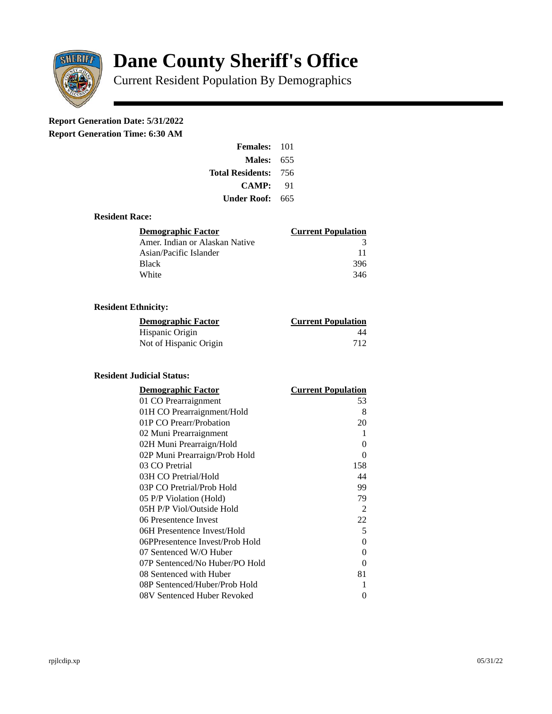

# **Dane County Sheriff's Office**

Current Resident Population By Demographics

# **Report Generation Date: 5/31/2022**

**Report Generation Time: 6:30 AM** 

| <b>Females: 101</b>         |     |
|-----------------------------|-----|
| Males:                      | 655 |
| <b>Total Residents: 756</b> |     |
| CAMP:                       | 91  |
| Under Roof:                 | 665 |

# **Resident Race:**

| Demographic Factor             | <b>Current Population</b> |
|--------------------------------|---------------------------|
| Amer. Indian or Alaskan Native | 3                         |
| Asian/Pacific Islander         | 11                        |
| Black                          | 396                       |
| White                          | 346                       |

# **Resident Ethnicity:**

| <u>Demographic Factor</u> | <u>Current Population</u> |
|---------------------------|---------------------------|
| Hispanic Origin           | 44                        |
| Not of Hispanic Origin    | 712                       |

#### **Resident Judicial Status:**

| <b>Demographic Factor</b>       | <b>Current Population</b> |
|---------------------------------|---------------------------|
| 01 CO Prearraignment            | 53                        |
| 01H CO Prearraignment/Hold      | 8                         |
| 01P CO Prearr/Probation         | 20                        |
| 02 Muni Prearraignment          | 1                         |
| 02H Muni Prearraign/Hold        | 0                         |
| 02P Muni Prearraign/Prob Hold   | 0                         |
| 03 CO Pretrial                  | 158                       |
| 03H CO Pretrial/Hold            | 44                        |
| 03P CO Pretrial/Prob Hold       | 99                        |
| 05 P/P Violation (Hold)         | 79                        |
| 05H P/P Viol/Outside Hold       | 2                         |
| 06 Presentence Invest           | 22                        |
| 06H Presentence Invest/Hold     | 5                         |
| 06PPresentence Invest/Prob Hold | 0                         |
| 07 Sentenced W/O Huber          | 0                         |
| 07P Sentenced/No Huber/PO Hold  | 0                         |
| 08 Sentenced with Huber         | 81                        |
| 08P Sentenced/Huber/Prob Hold   | 1                         |
| 08V Sentenced Huber Revoked     | 0                         |